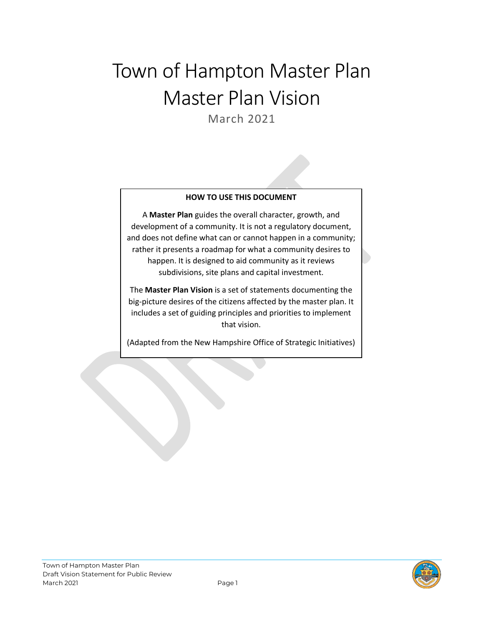# Town of Hampton Master Plan Master Plan Vision

March 2021

#### **HOW TO USE THIS DOCUMENT**

A **Master Plan** guides the overall character, growth, and development of a community. It is not a regulatory document, and does not define what can or cannot happen in a community; rather it presents a roadmap for what a community desires to happen. It is designed to aid community as it reviews subdivisions, site plans and capital investment.

The **Master Plan Vision** is a set of statements documenting the big-picture desires of the citizens affected by the master plan. It includes a set of guiding principles and priorities to implement that vision.

(Adapted from the New Hampshire Office of Strategic Initiatives)

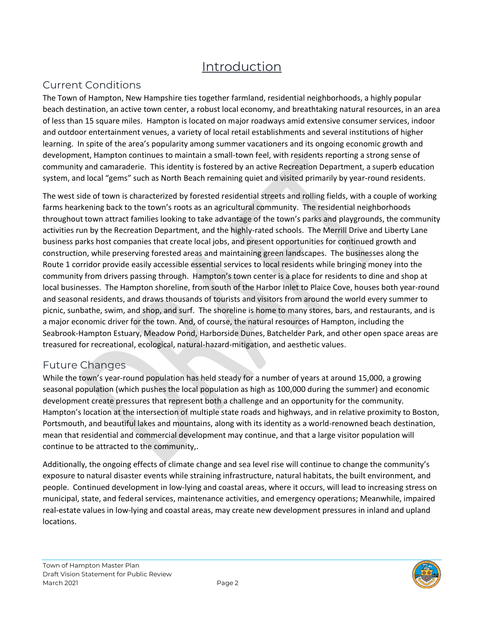## Introduction

#### Current Conditions

The Town of Hampton, New Hampshire ties together farmland, residential neighborhoods, a highly popular beach destination, an active town center, a robust local economy, and breathtaking natural resources, in an area of less than 15 square miles. Hampton is located on major roadways amid extensive consumer services, indoor and outdoor entertainment venues, a variety of local retail establishments and several institutions of higher learning. In spite of the area's popularity among summer vacationers and its ongoing economic growth and development, Hampton continues to maintain a small-town feel, with residents reporting a strong sense of community and camaraderie. This identity is fostered by an active Recreation Department, a superb education system, and local "gems" such as North Beach remaining quiet and visited primarily by year-round residents.

The west side of town is characterized by forested residential streets and rolling fields, with a couple of working farms hearkening back to the town's roots as an agricultural community. The residential neighborhoods throughout town attract families looking to take advantage of the town's parks and playgrounds, the community activities run by the Recreation Department, and the highly-rated schools. The Merrill Drive and Liberty Lane business parks host companies that create local jobs, and present opportunities for continued growth and construction, while preserving forested areas and maintaining green landscapes. The businesses along the Route 1 corridor provide easily accessible essential services to local residents while bringing money into the community from drivers passing through. Hampton's town center is a place for residents to dine and shop at local businesses. The Hampton shoreline, from south of the Harbor Inlet to Plaice Cove, houses both year-round and seasonal residents, and draws thousands of tourists and visitors from around the world every summer to picnic, sunbathe, swim, and shop, and surf. The shoreline is home to many stores, bars, and restaurants, and is a major economic driver for the town. And, of course, the natural resources of Hampton, including the Seabrook-Hampton Estuary, Meadow Pond, Harborside Dunes, Batchelder Park, and other open space areas are treasured for recreational, ecological, natural-hazard-mitigation, and aesthetic values.

#### Future Changes

While the town's year-round population has held steady for a number of years at around 15,000, a growing seasonal population (which pushes the local population as high as 100,000 during the summer) and economic development create pressures that represent both a challenge and an opportunity for the community. Hampton's location at the intersection of multiple state roads and highways, and in relative proximity to Boston, Portsmouth, and beautiful lakes and mountains, along with its identity as a world-renowned beach destination, mean that residential and commercial development may continue, and that a large visitor population will continue to be attracted to the community,.

Additionally, the ongoing effects of climate change and sea level rise will continue to change the community's exposure to natural disaster events while straining infrastructure, natural habitats, the built environment, and people. Continued development in low-lying and coastal areas, where it occurs, will lead to increasing stress on municipal, state, and federal services, maintenance activities, and emergency operations; Meanwhile, impaired real-estate values in low-lying and coastal areas, may create new development pressures in inland and upland locations.

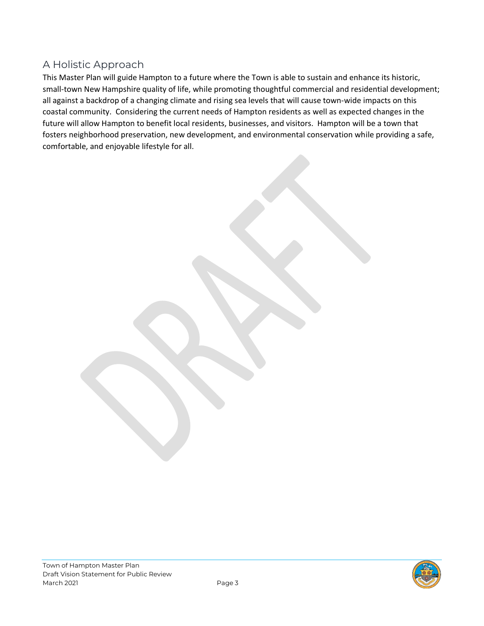#### A Holistic Approach

This Master Plan will guide Hampton to a future where the Town is able to sustain and enhance its historic, small-town New Hampshire quality of life, while promoting thoughtful commercial and residential development; all against a backdrop of a changing climate and rising sea levels that will cause town-wide impacts on this coastal community. Considering the current needs of Hampton residents as well as expected changes in the future will allow Hampton to benefit local residents, businesses, and visitors. Hampton will be a town that fosters neighborhood preservation, new development, and environmental conservation while providing a safe, comfortable, and enjoyable lifestyle for all.

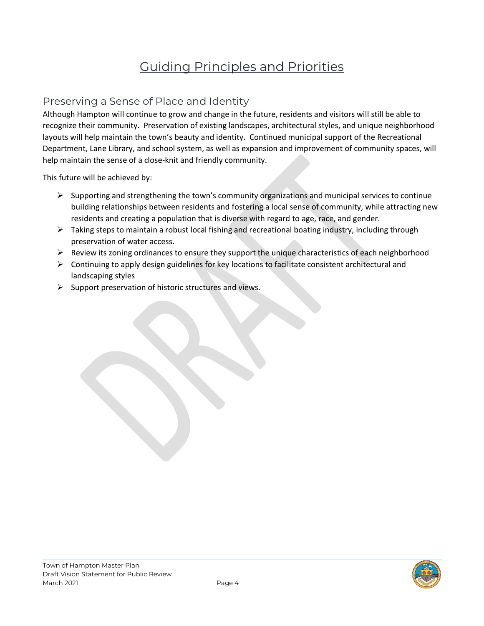## Guiding Principles and Priorities

#### Preserving a Sense of Place and Identity

Although Hampton will continue to grow and change in the future, residents and visitors will still be able to recognize their community. Preservation of existing landscapes, architectural styles, and unique neighborhood layouts will help maintain the town's beauty and identity. Continued municipal support of the Recreational Department, Lane Library, and school system, as well as expansion and improvement of community spaces, will help maintain the sense of a close-knit and friendly community.

This future will be achieved by:

- $\triangleright$  Supporting and strengthening the town's community organizations and municipal services to continue building relationships between residents and fostering a local sense of community, while attracting new residents and creating a population that is diverse with regard to age, race, and gender.
- $\triangleright$  Taking steps to maintain a robust local fishing and recreational boating industry, including through preservation of water access.
- Review its zoning ordinances to ensure they support the unique characteristics of each neighborhood
- $\triangleright$  Continuing to apply design guidelines for key locations to facilitate consistent architectural and landscaping styles
- $\triangleright$  Support preservation of historic structures and views.

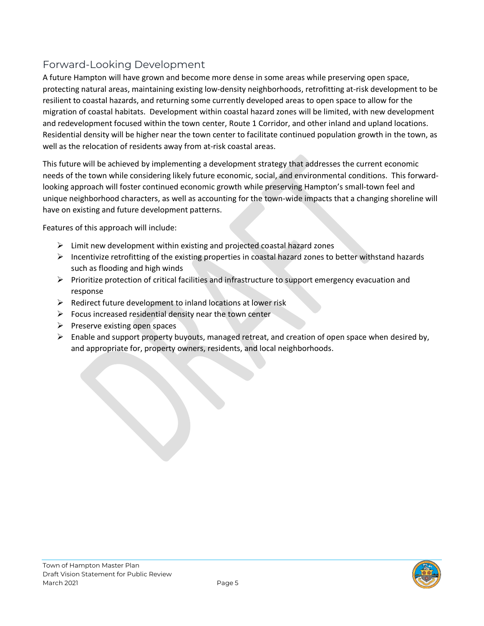#### Forward-Looking Development

A future Hampton will have grown and become more dense in some areas while preserving open space, protecting natural areas, maintaining existing low-density neighborhoods, retrofitting at-risk development to be resilient to coastal hazards, and returning some currently developed areas to open space to allow for the migration of coastal habitats. Development within coastal hazard zones will be limited, with new development and redevelopment focused within the town center, Route 1 Corridor, and other inland and upland locations. Residential density will be higher near the town center to facilitate continued population growth in the town, as well as the relocation of residents away from at-risk coastal areas.

This future will be achieved by implementing a development strategy that addresses the current economic needs of the town while considering likely future economic, social, and environmental conditions. This forwardlooking approach will foster continued economic growth while preserving Hampton's small-town feel and unique neighborhood characters, as well as accounting for the town-wide impacts that a changing shoreline will have on existing and future development patterns.

Features of this approach will include:

- $\triangleright$  Limit new development within existing and projected coastal hazard zones
- $\triangleright$  Incentivize retrofitting of the existing properties in coastal hazard zones to better withstand hazards such as flooding and high winds
- $\triangleright$  Prioritize protection of critical facilities and infrastructure to support emergency evacuation and response
- $\triangleright$  Redirect future development to inland locations at lower risk
- $\triangleright$  Focus increased residential density near the town center
- $\triangleright$  Preserve existing open spaces
- $\triangleright$  Enable and support property buyouts, managed retreat, and creation of open space when desired by, and appropriate for, property owners, residents, and local neighborhoods.

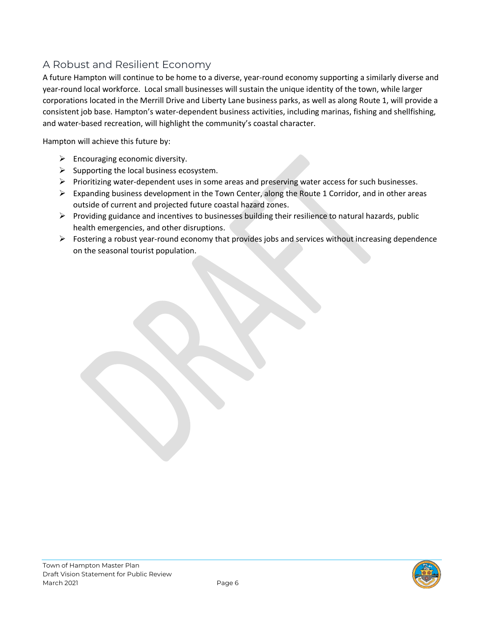#### A Robust and Resilient Economy

A future Hampton will continue to be home to a diverse, year-round economy supporting a similarly diverse and year-round local workforce. Local small businesses will sustain the unique identity of the town, while larger corporations located in the Merrill Drive and Liberty Lane business parks, as well as along Route 1, will provide a consistent job base. Hampton's water-dependent business activities, including marinas, fishing and shellfishing, and water-based recreation, will highlight the community's coastal character.

Hampton will achieve this future by:

- $\triangleright$  Encouraging economic diversity.
- $\triangleright$  Supporting the local business ecosystem.
- $\triangleright$  Prioritizing water-dependent uses in some areas and preserving water access for such businesses.
- $\triangleright$  Expanding business development in the Town Center, along the Route 1 Corridor, and in other areas outside of current and projected future coastal hazard zones.
- $\triangleright$  Providing guidance and incentives to businesses building their resilience to natural hazards, public health emergencies, and other disruptions.
- $\triangleright$  Fostering a robust year-round economy that provides jobs and services without increasing dependence on the seasonal tourist population.

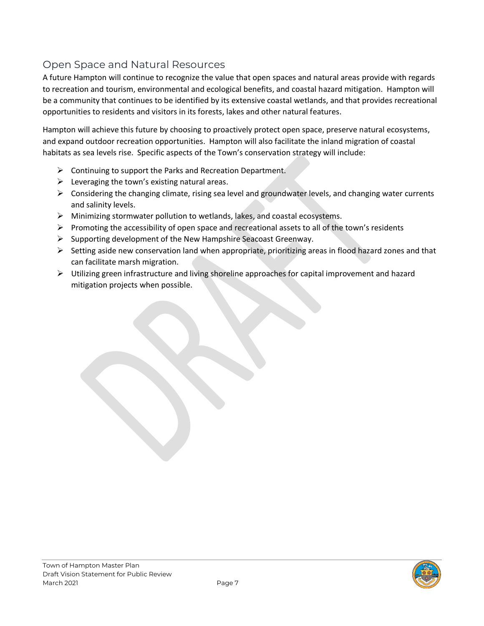#### Open Space and Natural Resources

A future Hampton will continue to recognize the value that open spaces and natural areas provide with regards to recreation and tourism, environmental and ecological benefits, and coastal hazard mitigation. Hampton will be a community that continues to be identified by its extensive coastal wetlands, and that provides recreational opportunities to residents and visitors in its forests, lakes and other natural features.

Hampton will achieve this future by choosing to proactively protect open space, preserve natural ecosystems, and expand outdoor recreation opportunities. Hampton will also facilitate the inland migration of coastal habitats as sea levels rise. Specific aspects of the Town's conservation strategy will include:

- $\triangleright$  Continuing to support the Parks and Recreation Department.
- $\triangleright$  Leveraging the town's existing natural areas.
- $\triangleright$  Considering the changing climate, rising sea level and groundwater levels, and changing water currents and salinity levels.
- $\triangleright$  Minimizing stormwater pollution to wetlands, lakes, and coastal ecosystems.
- $\triangleright$  Promoting the accessibility of open space and recreational assets to all of the town's residents
- $\triangleright$  Supporting development of the New Hampshire Seacoast Greenway.
- $\triangleright$  Setting aside new conservation land when appropriate, prioritizing areas in flood hazard zones and that can facilitate marsh migration.
- $\triangleright$  Utilizing green infrastructure and living shoreline approaches for capital improvement and hazard mitigation projects when possible.

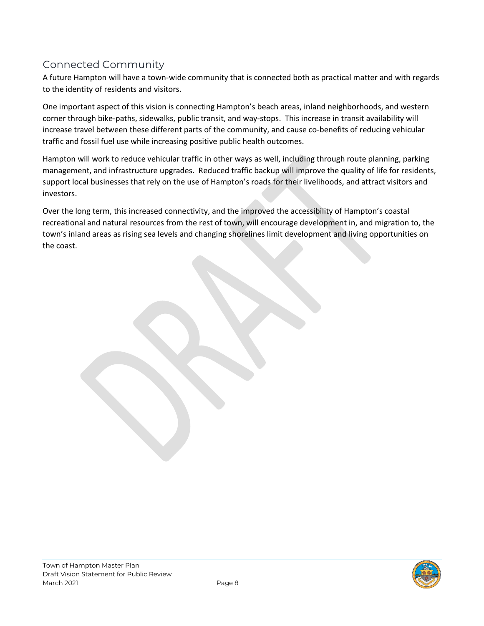### Connected Community

A future Hampton will have a town-wide community that is connected both as practical matter and with regards to the identity of residents and visitors.

One important aspect of this vision is connecting Hampton's beach areas, inland neighborhoods, and western corner through bike-paths, sidewalks, public transit, and way-stops. This increase in transit availability will increase travel between these different parts of the community, and cause co-benefits of reducing vehicular traffic and fossil fuel use while increasing positive public health outcomes.

Hampton will work to reduce vehicular traffic in other ways as well, including through route planning, parking management, and infrastructure upgrades. Reduced traffic backup will improve the quality of life for residents, support local businesses that rely on the use of Hampton's roads for their livelihoods, and attract visitors and investors.

Over the long term, this increased connectivity, and the improved the accessibility of Hampton's coastal recreational and natural resources from the rest of town, will encourage development in, and migration to, the town's inland areas as rising sea levels and changing shorelines limit development and living opportunities on the coast.

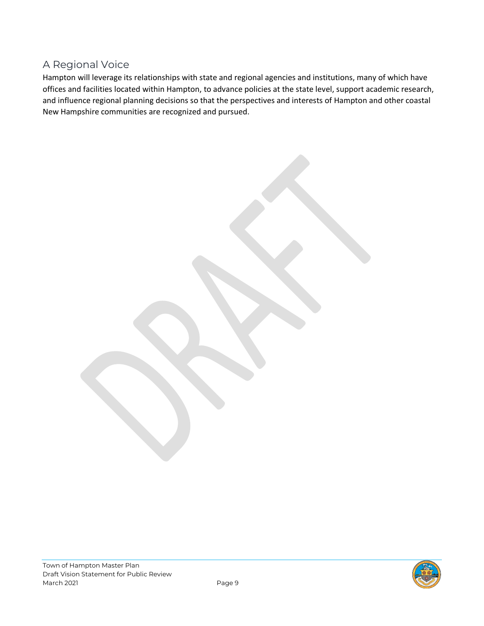#### A Regional Voice

Hampton will leverage its relationships with state and regional agencies and institutions, many of which have offices and facilities located within Hampton, to advance policies at the state level, support academic research, and influence regional planning decisions so that the perspectives and interests of Hampton and other coastal New Hampshire communities are recognized and pursued.